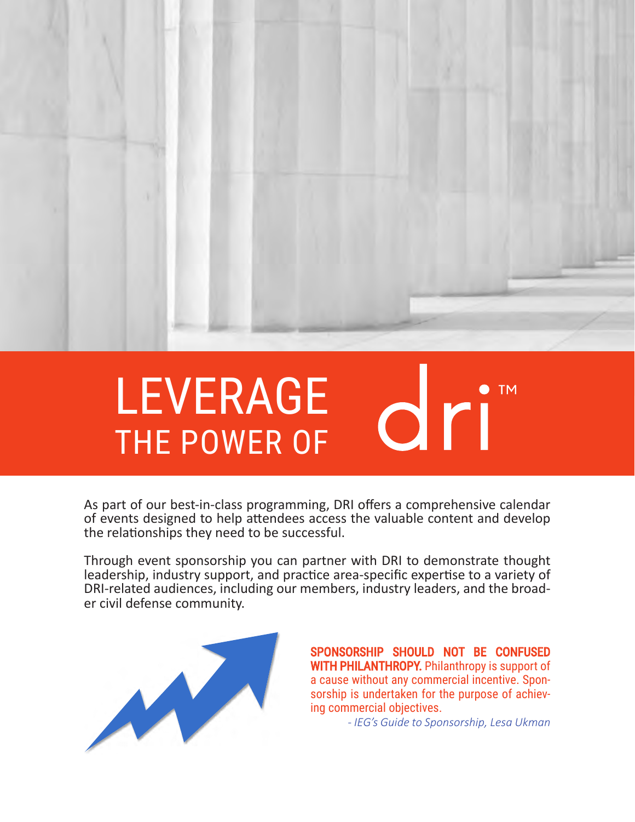

### LEVERAGE dri" THE POWER OF

As part of our best-in-class programming, DRI offers a comprehensive calendar of events designed to help attendees access the valuable content and develop the relationships they need to be successful.

Through event sponsorship you can partner with DRI to demonstrate thought leadership, industry support, and practice area-specific expertise to a variety of DRI-related audiences, including our members, industry leaders, and the broad-<br>er civil defense community.



SPONSORSHIP SHOULD NOT BE CONFUSED WITH PHILANTHROPY. Philanthropy is support of a cause without any commercial incentive. Sponsorship is undertaken for the purpose of achieving commercial objectives.

*- IEG's Guide to Sponsorship, Lesa Ukman*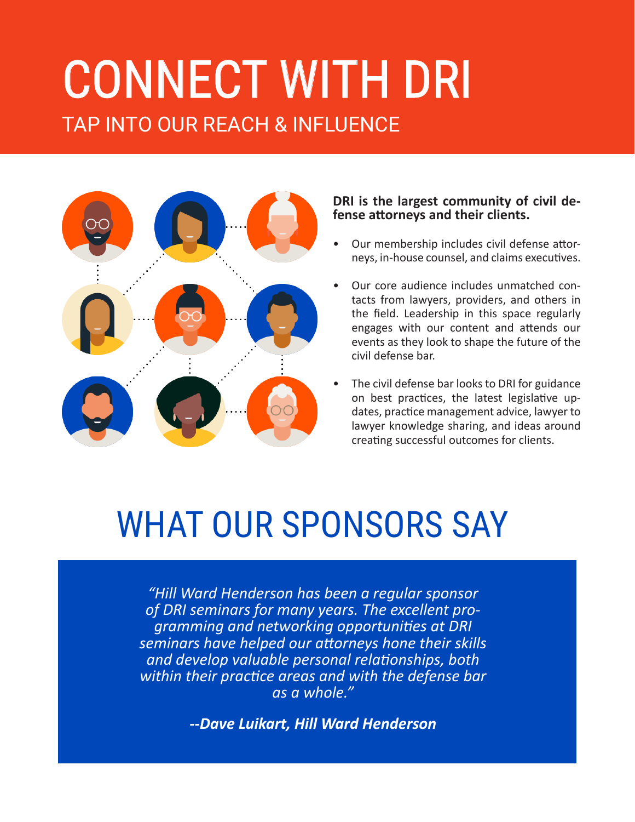## TAP INTO OUR REACH & INFLUENCE CONNECT WITH DRI



#### **DRI is the largest community of civil de- fense attorneys and their clients.**

- Our membership includes civil defense attorneys, in-house counsel, and claims executives.
- Our core audience includes unmatched contacts from lawyers, providers, and others in the field. Leadership in this space regularly engages with our content and attends our events as they look to shape the future of the civil defense bar.
- The civil defense bar looks to DRI for guidance on best practices, the latest legislative updates, practice management advice, lawyer to lawyer knowledge sharing, and ideas around creating successful outcomes for clients.

## WHAT OUR SPONSORS SAY

*"Hill Ward Henderson has been a regular sponsor of DRI seminars for many years. The excellent programming and networking opportunities at DRI seminars have helped our attorneys hone their skills and develop valuable personal relationships, both within their practice areas and with the defense bar as a whole."*

*--Dave Luikart, Hill Ward Henderson*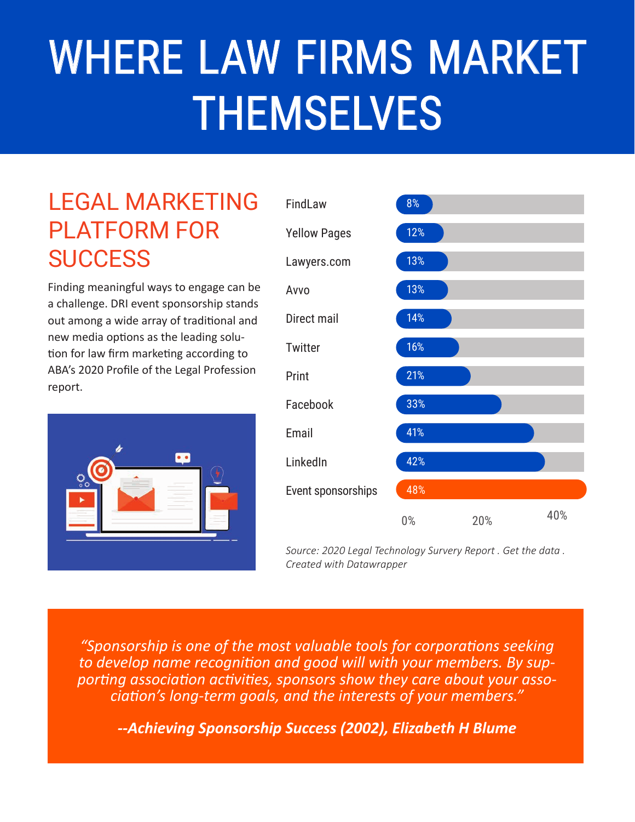# WHERE LAW FIRMS MARKET **THEMSELVES**

#### LEGAL MARKETING PLATFORM FOR **SUCCESS**

Finding meaningful ways to engage can be a challenge. DRI event sponsorship stands out among a wide array of traditional and new media options as the leading solution for law firm marketing according to ABA's 2020 Profile of the Legal Profession report.





*Source: 2020 Legal Technology Survery Report . Get the data . Created with Datawrapper*

*"Sponsorship is one of the most valuable tools for corporations seeking to develop name recognition and good will with your members. By supporting association activities, sponsors show they care about your association's long-term goals, and the interests of your members."*

*--Achieving Sponsorship Success (2002), Elizabeth H Blume*